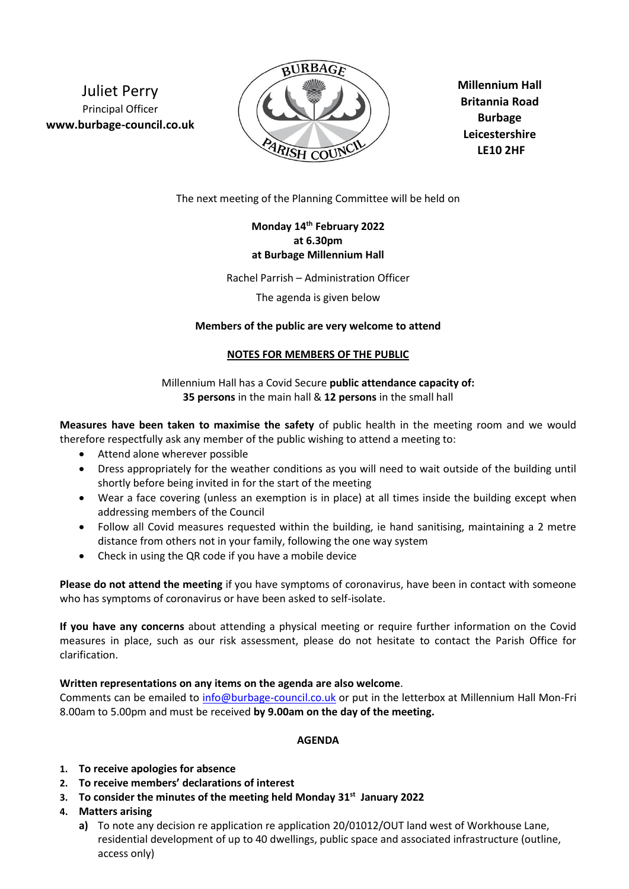Juliet Perry Principal Officer **www.burbage-council.co.uk**



**Millennium Hall Britannia Road Burbage Leicestershire LE10 2HF**

The next meeting of the Planning Committee will be held on

# **Monday 14th February 2022 at 6.30pm at Burbage Millennium Hall**

Rachel Parrish – Administration Officer

The agenda is given below

## **Members of the public are very welcome to attend**

### **NOTES FOR MEMBERS OF THE PUBLIC**

Millennium Hall has a Covid Secure **public attendance capacity of: 35 persons** in the main hall & **12 persons** in the small hall

**Measures have been taken to maximise the safety** of public health in the meeting room and we would therefore respectfully ask any member of the public wishing to attend a meeting to:

- Attend alone wherever possible
- Dress appropriately for the weather conditions as you will need to wait outside of the building until shortly before being invited in for the start of the meeting
- Wear a face covering (unless an exemption is in place) at all times inside the building except when addressing members of the Council
- Follow all Covid measures requested within the building, ie hand sanitising, maintaining a 2 metre distance from others not in your family, following the one way system
- Check in using the QR code if you have a mobile device

**Please do not attend the meeting** if you have symptoms of coronavirus, have been in contact with someone who has symptoms of coronavirus or have been asked to self-isolate.

**If you have any concerns** about attending a physical meeting or require further information on the Covid measures in place, such as our risk assessment, please do not hesitate to contact the Parish Office for clarification.

## **Written representations on any items on the agenda are also welcome**.

Comments can be emailed to [info@burbage-council.co.uk](mailto:info@burbage-council.co.uk) or put in the letterbox at Millennium Hall Mon-Fri 8.00am to 5.00pm and must be received **by 9.00am on the day of the meeting.**

## **AGENDA**

- **1. To receive apologies for absence**
- **2. To receive members' declarations of interest**
- **3. To consider the minutes of the meeting held Monday 31st January 2022**
- **4. Matters arising**
	- **a)** To note any decision re application re application 20/01012/OUT land west of Workhouse Lane, residential development of up to 40 dwellings, public space and associated infrastructure (outline, access only)